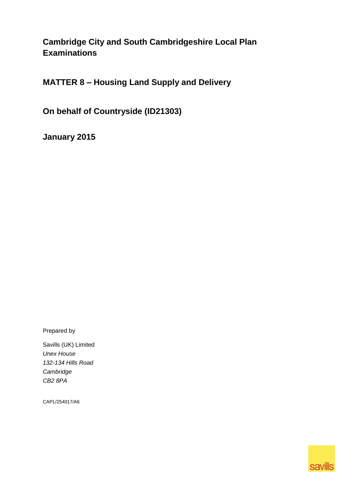**Cambridge City and South Cambridgeshire Local Plan Examinations**

**MATTER 8 – Housing Land Supply and Delivery**

**On behalf of Countryside (ID21303)**

**January 2015**

Prepared by

Savills (UK) Limited *Unex House 132-134 Hills Road Cambridge CB2 8PA*

CAPL/254017/A6

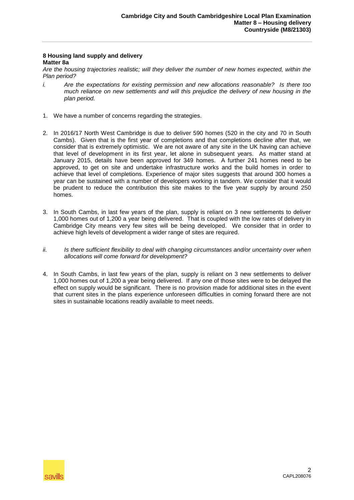## **8 Housing land supply and delivery Matter 8a**

*Are the housing trajectories realistic; will they deliver the number of new homes expected, within the Plan period?*

- *i. Are the expectations for existing permission and new allocations reasonable? Is there too much reliance on new settlements and will this prejudice the delivery of new housing in the plan period.*
- 1. We have a number of concerns regarding the strategies.
- 2. In 2016/17 North West Cambridge is due to deliver 590 homes (520 in the city and 70 in South Cambs). Given that is the first year of completions and that completions decline after that, we consider that is extremely optimistic. We are not aware of any site in the UK having can achieve that level of development in its first year, let alone in subsequent years. As matter stand at January 2015, details have been approved for 349 homes. A further 241 homes need to be approved, to get on site and undertake infrastructure works and the build homes in order to achieve that level of completions. Experience of major sites suggests that around 300 homes a year can be sustained with a number of developers working in tandem. We consider that it would be prudent to reduce the contribution this site makes to the five year supply by around 250 homes.
- 3. In South Cambs, in last few years of the plan, supply is reliant on 3 new settlements to deliver 1,000 homes out of 1,200 a year being delivered. That is coupled with the low rates of delivery in Cambridge City means very few sites will be being developed. We consider that in order to achieve high levels of development a wider range of sites are required.
- *ii. Is there sufficient flexibility to deal with changing circumstances and/or uncertainty over when allocations will come forward for development?*
- 4. In South Cambs, in last few years of the plan, supply is reliant on 3 new settlements to deliver 1,000 homes out of 1,200 a year being delivered. If any one of those sites were to be delayed the effect on supply would be significant. There is no provision made for additional sites in the event that current sites in the plans experience unforeseen difficulties in coming forward there are not sites in sustainable locations readily available to meet needs.

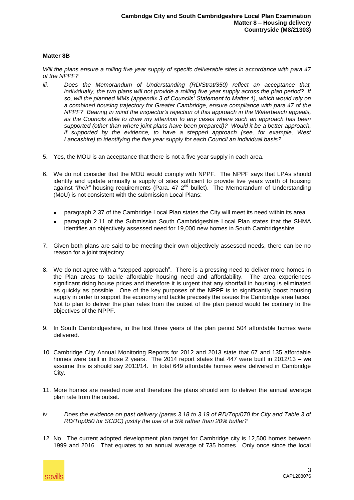## **Matter 8B**

*Will the plans ensure a rolling five year supply of specifc deliverable sites in accordance with para 47 of the NPPF?*

- *iii. Does the Memorandum of Understanding (RD/Strat/350) reflect an acceptance that, individually, the two plans will not provide a rolling five year supply across the plan period? If so, will the planned MMs (appendix 3 of Councils' Statement to Matter 1), which would rely on a combined housing trajectory for Greater Cambridge, ensure compliance with para.47 of the NPPF? Bearing in mind the inspector's rejection of this approach in the Waterbeach appeals, as the Councils able to draw my attention to any cases where such an approach has been supported (other than where joint plans have been prepared)? Would it be a better approach, if supported by the evidence, to have a stepped approach (see, for example, West Lancashire) to identifying the five year supply for each Council an individual basis?*
- 5. Yes, the MOU is an acceptance that there is not a five year supply in each area.
- 6. We do not consider that the MOU would comply with NPPF. The NPPF says that LPAs should identify and update annually a supply of sites sufficient to provide five years worth of housing against "their" housing requirements (Para. 47 2<sup>nd</sup> bullet). The Memorandum of Understanding (MoU) is not consistent with the submission Local Plans:
	- paragraph 2.37 of the Cambridge Local Plan states the City will meet its need within its area
	- paragraph 2.11 of the Submission South Cambridgeshire Local Plan states that the SHMA identifies an objectively assessed need for 19,000 new homes in South Cambridgeshire.
- 7. Given both plans are said to be meeting their own objectively assessed needs, there can be no reason for a joint trajectory.
- 8. We do not agree with a "stepped approach". There is a pressing need to deliver more homes in the Plan areas to tackle affordable housing need and affordability. The area experiences significant rising house prices and therefore it is urgent that any shortfall in housing is eliminated as quickly as possible. One of the key purposes of the NPPF is to significantly boost housing supply in order to support the economy and tackle precisely the issues the Cambridge area faces. Not to plan to deliver the plan rates from the outset of the plan period would be contrary to the objectives of the NPPF.
- 9. In South Cambridgeshire, in the first three years of the plan period 504 affordable homes were delivered.
- 10. Cambridge City Annual Monitoring Reports for 2012 and 2013 state that 67 and 135 affordable homes were built in those 2 years. The 2014 report states that 447 were built in 2012/13 – we assume this is should say 2013/14. In total 649 affordable homes were delivered in Cambridge City.
- 11. More homes are needed now and therefore the plans should aim to deliver the annual average plan rate from the outset.
- *iv. Does the evidence on past delivery (paras 3.18 to 3.19 of RD/Top/070 for City and Table 3 of RD/Top050 for SCDC) justify the use of a 5% rather than 20% buffer?*
- 12. No. The current adopted development plan target for Cambridge city is 12,500 homes between 1999 and 2016. That equates to an annual average of 735 homes. Only once since the local

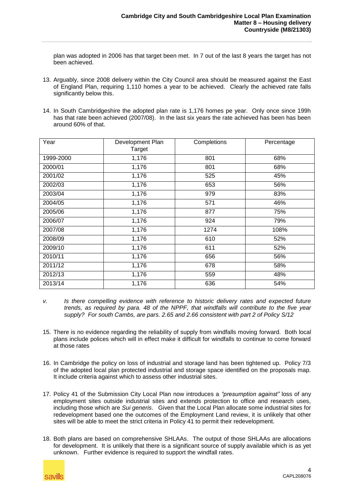plan was adopted in 2006 has that target been met. In 7 out of the last 8 years the target has not been achieved.

- 13. Arguably, since 2008 delivery within the City Council area should be measured against the East of England Plan, requiring 1,110 homes a year to be achieved. Clearly the achieved rate falls significantly below this.
- 14. In South Cambridgeshire the adopted plan rate is 1,176 homes pe year. Only once since 199h has that rate been achieved (2007/08). In the last six years the rate achieved has been has been around 60% of that.

| Year      | Development Plan<br><b>Target</b> | Completions | Percentage |
|-----------|-----------------------------------|-------------|------------|
| 1999-2000 | 1,176                             | 801         | 68%        |
| 2000/01   | 1,176                             | 801         | 68%        |
| 2001/02   | 1,176                             | 525         | 45%        |
| 2002/03   | 1,176                             | 653         | 56%        |
| 2003/04   | 1,176                             | 979         | 83%        |
| 2004/05   | 1,176                             | 571         | 46%        |
| 2005/06   | 1,176                             | 877         | 75%        |
| 2006/07   | 1,176                             | 924         | 79%        |
| 2007/08   | 1,176                             | 1274        | 108%       |
| 2008/09   | 1,176                             | 610         | 52%        |
| 2009/10   | 1,176                             | 611         | 52%        |
| 2010/11   | 1,176                             | 656         | 56%        |
| 2011/12   | 1,176                             | 678         | 58%        |
| 2012/13   | 1,176                             | 559         | 48%        |
| 2013/14   | 1,176                             | 636         | 54%        |

- *v. Is there compelling evidence with reference to historic delivery rates and expected future trends, as required by para. 48 of the NPPF, that windfalls will contribute to the five year supply? For south Cambs, are pars. 2.65 and 2.66 consistent with part 2 of Policy S/12*
- 15. There is no evidence regarding the reliability of supply from windfalls moving forward. Both local plans include polices which will in effect make it difficult for windfalls to continue to come forward at those rates
- 16. In Cambridge the policy on loss of industrial and storage land has been tightened up. Policy 7/3 of the adopted local plan protected industrial and storage space identified on the proposals map. It include criteria against which to assess other industrial sites.
- 17. Policy 41 of the Submission City Local Plan now introduces a *"presumption against"* loss of any employment sites outside industrial sites and extends protection to office and research uses, including those which are *Sui generis*. Given that the Local Plan allocate some industrial sites for redevelopment based one the outcomes of the Employment Land review, it is unlikely that other sites will be able to meet the strict criteria in Policy 41 to permit their redevelopment.
- 18. Both plans are based on comprehensive SHLAAs. The output of those SHLAAs are allocations for development. It is unlikely that there is a significant source of supply available which is as yet unknown. Further evidence is required to support the windfall rates.